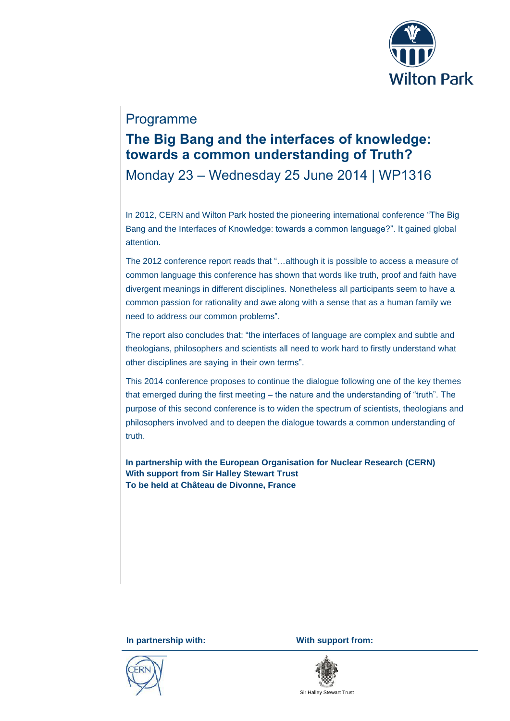

## Programme

## **The Big Bang and the interfaces of knowledge: towards a common understanding of Truth?**

Monday 23 – Wednesday 25 June 2014 | WP1316

In 2012, CERN and Wilton Park hosted the pioneering international conference "The Big Bang and the Interfaces of Knowledge: towards a common language?". It gained global attention.

The 2012 conference report reads that "…although it is possible to access a measure of common language this conference has shown that words like truth, proof and faith have divergent meanings in different disciplines. Nonetheless all participants seem to have a common passion for rationality and awe along with a sense that as a human family we need to address our common problems".

The report also concludes that: "the interfaces of language are complex and subtle and theologians, philosophers and scientists all need to work hard to firstly understand what other disciplines are saying in their own terms".

This 2014 conference proposes to continue the dialogue following one of the key themes that emerged during the first meeting – the nature and the understanding of "truth". The purpose of this second conference is to widen the spectrum of scientists, theologians and philosophers involved and to deepen the dialogue towards a common understanding of truth.

**In partnership with the European Organisation for Nuclear Research (CERN) With support from Sir Halley Stewart Trust To be held at Château de Divonne, France**



**In partnership with: With support from:** 



Sir Halley Stewart Trust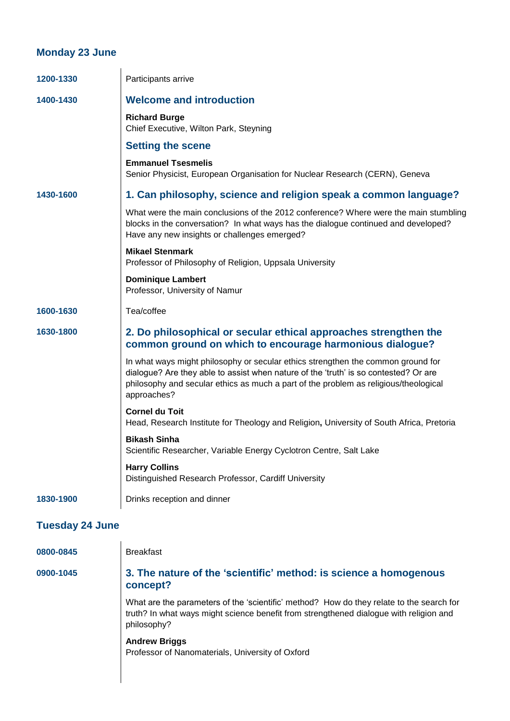## **Monday 23 June**

| 1200-1330              | Participants arrive                                                                                                                                                                                                                                                             |
|------------------------|---------------------------------------------------------------------------------------------------------------------------------------------------------------------------------------------------------------------------------------------------------------------------------|
| 1400-1430              | <b>Welcome and introduction</b>                                                                                                                                                                                                                                                 |
|                        | <b>Richard Burge</b><br>Chief Executive, Wilton Park, Steyning                                                                                                                                                                                                                  |
|                        | <b>Setting the scene</b>                                                                                                                                                                                                                                                        |
|                        | <b>Emmanuel Tsesmelis</b><br>Senior Physicist, European Organisation for Nuclear Research (CERN), Geneva                                                                                                                                                                        |
| 1430-1600              | 1. Can philosophy, science and religion speak a common language?                                                                                                                                                                                                                |
|                        | What were the main conclusions of the 2012 conference? Where were the main stumbling<br>blocks in the conversation? In what ways has the dialogue continued and developed?<br>Have any new insights or challenges emerged?                                                      |
|                        | <b>Mikael Stenmark</b><br>Professor of Philosophy of Religion, Uppsala University                                                                                                                                                                                               |
|                        | <b>Dominique Lambert</b><br>Professor, University of Namur                                                                                                                                                                                                                      |
| 1600-1630              | Tea/coffee                                                                                                                                                                                                                                                                      |
| 1630-1800              | 2. Do philosophical or secular ethical approaches strengthen the<br>common ground on which to encourage harmonious dialogue?                                                                                                                                                    |
|                        | In what ways might philosophy or secular ethics strengthen the common ground for<br>dialogue? Are they able to assist when nature of the 'truth' is so contested? Or are<br>philosophy and secular ethics as much a part of the problem as religious/theological<br>approaches? |
|                        | <b>Cornel du Toit</b><br>Head, Research Institute for Theology and Religion, University of South Africa, Pretoria                                                                                                                                                               |
|                        | <b>Bikash Sinha</b><br>Scientific Researcher, Variable Energy Cyclotron Centre, Salt Lake                                                                                                                                                                                       |
|                        | <b>Harry Collins</b><br>Distinguished Research Professor, Cardiff University                                                                                                                                                                                                    |
| 1830-1900              | Drinks reception and dinner                                                                                                                                                                                                                                                     |
| <b>Tuesday 24 June</b> |                                                                                                                                                                                                                                                                                 |
| 0800-0845              | <b>Breakfast</b>                                                                                                                                                                                                                                                                |
| 0900-1045              | 3. The nature of the 'scientific' method: is science a homogenous<br>concept?                                                                                                                                                                                                   |

What are the parameters of the 'scientific' method? How do they relate to the search for truth? In what ways might science benefit from strengthened dialogue with religion and philosophy?

**Andrew Briggs** Professor of Nanomaterials, University of Oxford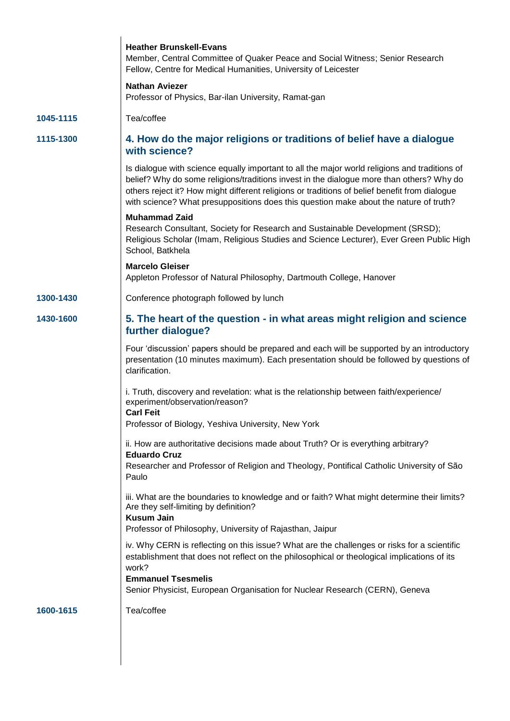|           | <b>Heather Brunskell-Evans</b><br>Member, Central Committee of Quaker Peace and Social Witness; Senior Research<br>Fellow, Centre for Medical Humanities, University of Leicester<br><b>Nathan Aviezer</b>                                                                                                                                                                          |
|-----------|-------------------------------------------------------------------------------------------------------------------------------------------------------------------------------------------------------------------------------------------------------------------------------------------------------------------------------------------------------------------------------------|
|           | Professor of Physics, Bar-ilan University, Ramat-gan                                                                                                                                                                                                                                                                                                                                |
| 1045-1115 | Tea/coffee                                                                                                                                                                                                                                                                                                                                                                          |
| 1115-1300 | 4. How do the major religions or traditions of belief have a dialogue<br>with science?                                                                                                                                                                                                                                                                                              |
|           | Is dialogue with science equally important to all the major world religions and traditions of<br>belief? Why do some religions/traditions invest in the dialogue more than others? Why do<br>others reject it? How might different religions or traditions of belief benefit from dialogue<br>with science? What presuppositions does this question make about the nature of truth? |
|           | <b>Muhammad Zaid</b><br>Research Consultant, Society for Research and Sustainable Development (SRSD);<br>Religious Scholar (Imam, Religious Studies and Science Lecturer), Ever Green Public High<br>School, Batkhela                                                                                                                                                               |
|           | <b>Marcelo Gleiser</b><br>Appleton Professor of Natural Philosophy, Dartmouth College, Hanover                                                                                                                                                                                                                                                                                      |
| 1300-1430 | Conference photograph followed by lunch                                                                                                                                                                                                                                                                                                                                             |
| 1430-1600 | 5. The heart of the question - in what areas might religion and science<br>further dialogue?                                                                                                                                                                                                                                                                                        |
|           | Four 'discussion' papers should be prepared and each will be supported by an introductory<br>presentation (10 minutes maximum). Each presentation should be followed by questions of<br>clarification.                                                                                                                                                                              |
|           | i. Truth, discovery and revelation: what is the relationship between faith/experience/<br>experiment/observation/reason?<br><b>Carl Feit</b>                                                                                                                                                                                                                                        |
|           | Professor of Biology, Yeshiva University, New York                                                                                                                                                                                                                                                                                                                                  |
|           | ii. How are authoritative decisions made about Truth? Or is everything arbitrary?<br><b>Eduardo Cruz</b>                                                                                                                                                                                                                                                                            |
|           | Researcher and Professor of Religion and Theology, Pontifical Catholic University of São<br>Paulo                                                                                                                                                                                                                                                                                   |
|           | iii. What are the boundaries to knowledge and or faith? What might determine their limits?<br>Are they self-limiting by definition?<br><b>Kusum Jain</b>                                                                                                                                                                                                                            |
|           | Professor of Philosophy, University of Rajasthan, Jaipur                                                                                                                                                                                                                                                                                                                            |
|           | iv. Why CERN is reflecting on this issue? What are the challenges or risks for a scientific<br>establishment that does not reflect on the philosophical or theological implications of its<br>work?<br><b>Emmanuel Tsesmelis</b>                                                                                                                                                    |
|           | Senior Physicist, European Organisation for Nuclear Research (CERN), Geneva                                                                                                                                                                                                                                                                                                         |
| 1600-1615 | Tea/coffee                                                                                                                                                                                                                                                                                                                                                                          |
|           |                                                                                                                                                                                                                                                                                                                                                                                     |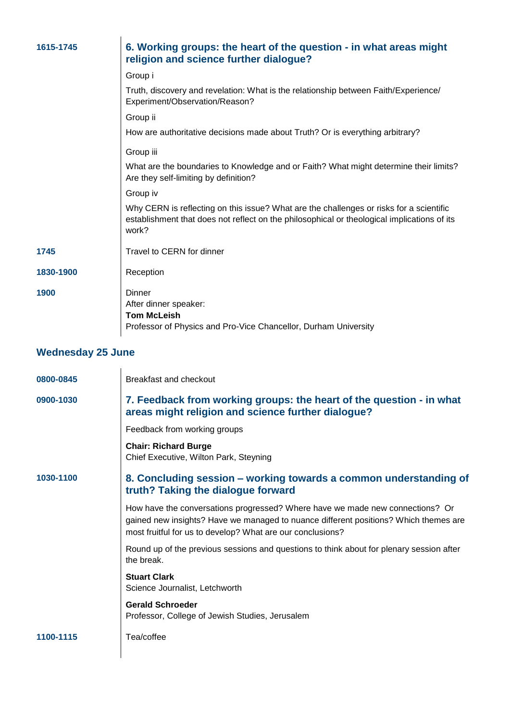| 1615-1745                | 6. Working groups: the heart of the question - in what areas might<br>religion and science further dialogue?                                                                                    |  |
|--------------------------|-------------------------------------------------------------------------------------------------------------------------------------------------------------------------------------------------|--|
|                          | Group i                                                                                                                                                                                         |  |
|                          | Truth, discovery and revelation: What is the relationship between Faith/Experience/<br>Experiment/Observation/Reason?                                                                           |  |
|                          | Group ii                                                                                                                                                                                        |  |
|                          | How are authoritative decisions made about Truth? Or is everything arbitrary?                                                                                                                   |  |
|                          | Group iii                                                                                                                                                                                       |  |
|                          | What are the boundaries to Knowledge and or Faith? What might determine their limits?<br>Are they self-limiting by definition?                                                                  |  |
|                          | Group iv                                                                                                                                                                                        |  |
|                          | Why CERN is reflecting on this issue? What are the challenges or risks for a scientific<br>establishment that does not reflect on the philosophical or theological implications of its<br>work? |  |
| 1745                     | Travel to CERN for dinner                                                                                                                                                                       |  |
| 1830-1900                | Reception                                                                                                                                                                                       |  |
| 1900                     | <b>Dinner</b><br>After dinner speaker:<br><b>Tom McLeish</b><br>Professor of Physics and Pro-Vice Chancellor, Durham University                                                                 |  |
| <b>Wednesday 25 June</b> |                                                                                                                                                                                                 |  |
| 0800-0845                | Breakfast and checkout                                                                                                                                                                          |  |

| 0900-1030 | 7. Feedback from working groups: the heart of the question - in what<br>areas might religion and science further dialogue?                                                                                                          |
|-----------|-------------------------------------------------------------------------------------------------------------------------------------------------------------------------------------------------------------------------------------|
|           | Feedback from working groups                                                                                                                                                                                                        |
|           | <b>Chair: Richard Burge</b><br>Chief Executive, Wilton Park, Steyning                                                                                                                                                               |
| 1030-1100 | 8. Concluding session – working towards a common understanding of<br>truth? Taking the dialogue forward                                                                                                                             |
|           | How have the conversations progressed? Where have we made new connections? Or<br>gained new insights? Have we managed to nuance different positions? Which themes are<br>most fruitful for us to develop? What are our conclusions? |
|           | Round up of the previous sessions and questions to think about for plenary session after<br>the break.                                                                                                                              |
|           | <b>Stuart Clark</b><br>Science Journalist, Letchworth                                                                                                                                                                               |
|           | <b>Gerald Schroeder</b><br>Professor, College of Jewish Studies, Jerusalem                                                                                                                                                          |
| 1100-1115 | Tea/coffee                                                                                                                                                                                                                          |
|           |                                                                                                                                                                                                                                     |